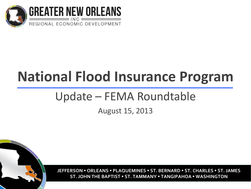

### **National Flood Insurance Program**

### Update – FEMA Roundtable

#### August 15, 2013

**JEFFERSON ORLEANS PLAQUEMINES ST. BERNARD ST. CHARLES ST. JAMES ST. JOHN THE BAPTIST ST. TAMMANY TANGIPAHOA WASHINGTON**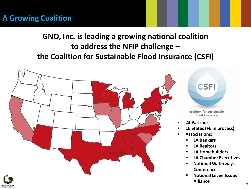#### **A Growing Coalition**

#### **GNO, Inc. is leading a growing national coalition to address the NFIP challenge – the Coalition for Sustainable Flood Insurance (CSFI)**

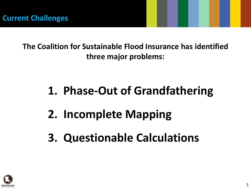**The Coalition for Sustainable Flood Insurance has identified three major problems:**

### **1. Phase-Out of Grandfathering**

- **2. Incomplete Mapping**
- **3. Questionable Calculations**

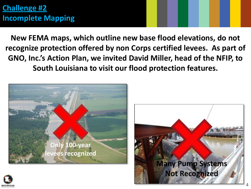#### **Challenge #2 Incomplete Mapping**

**New FEMA maps, which outline new base flood elevations, do not recognize protection offered by non Corps certified levees. As part of GNO, Inc.'s Action Plan, we invited David Miller, head of the NFIP, to South Louisiana to visit our flood protection features.**





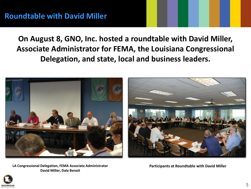**On August 8, GNO, Inc. hosted a roundtable with David Miller, Associate Administrator for FEMA, the Louisiana Congressional Delegation, and state, local and business leaders.**



**LA Congressional Delegation, FEMA Associate Administrator David Miller, Dale Benoit**

**Participants at Roundtable with David Miller**

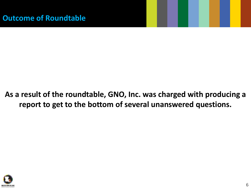#### **As a result of the roundtable, GNO, Inc. was charged with producing a report to get to the bottom of several unanswered questions.**

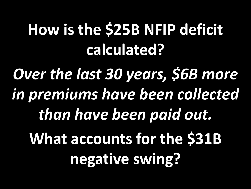## **How is the \$25B NFIP deficit calculated?**

*Over the last 30 years, \$6B more in premiums have been collected than have been paid out.*  **What accounts for the \$31B negative swing?**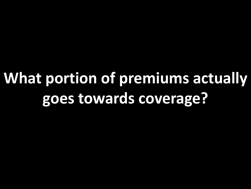## **What portion of premiums actually goes towards coverage?**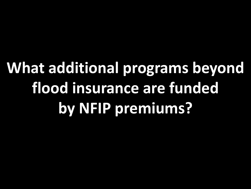# **What additional programs beyond flood insurance are funded by NFIP premiums?**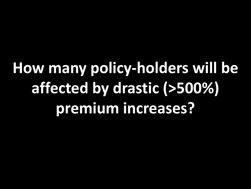**How many policy-holders will be affected by drastic (>500%) premium increases?**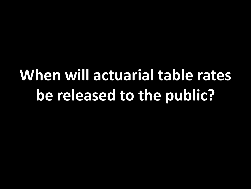## **When will actuarial table rates be released to the public?**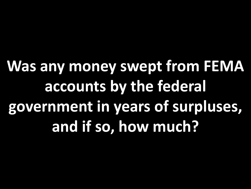**Was any money swept from FEMA accounts by the federal government in years of surpluses, and if so, how much?**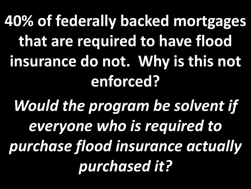**40% of federally backed mortgages that are required to have flood insurance do not. Why is this not enforced?**

*Would the program be solvent if everyone who is required to purchase flood insurance actually purchased it?*